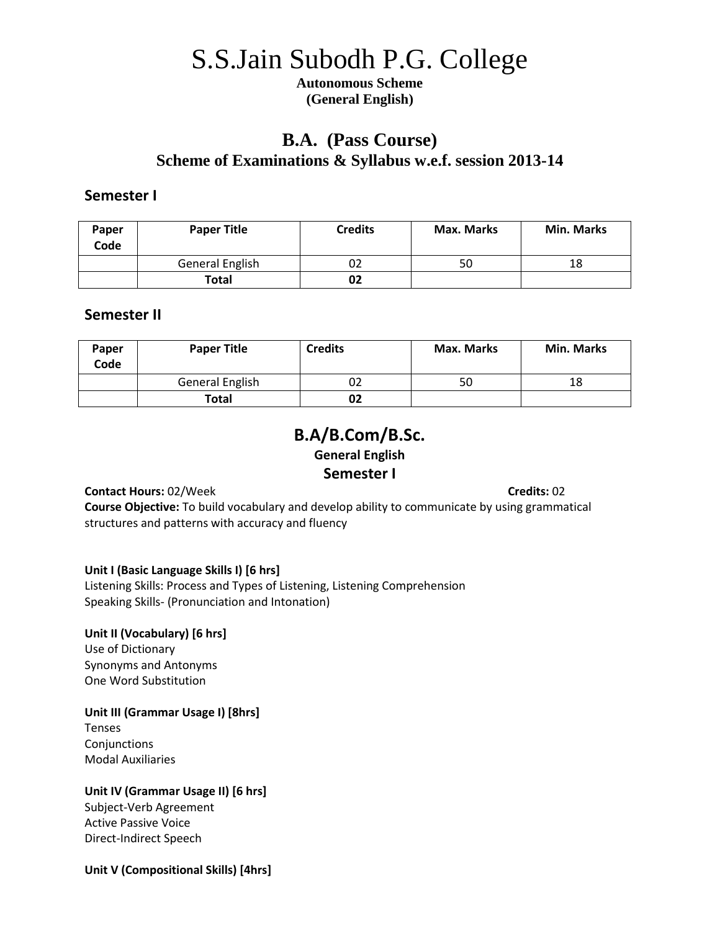# S.S.Jain Subodh P.G. College

**Autonomous Scheme (General English)**

# **B.A. (Pass Course) Scheme of Examinations & Syllabus w.e.f. session 2013-14**

## **Semester I**

| Paper<br>Code | <b>Paper Title</b> | <b>Credits</b> | <b>Max. Marks</b> | <b>Min. Marks</b> |
|---------------|--------------------|----------------|-------------------|-------------------|
|               | General English    | UZ             | 50                | 18                |
|               | Total              |                |                   |                   |

# **Semester II**

| Paper<br>Code | <b>Paper Title</b> | <b>Credits</b> | <b>Max. Marks</b> | <b>Min. Marks</b> |
|---------------|--------------------|----------------|-------------------|-------------------|
|               | General English    | 02             | 50                | 18                |
|               | <b>Total</b>       | 02             |                   |                   |

# **B.A/B.Com/B.Sc. General English Semester I**

**Contact Hours:** 02/Week **Contact Hours:** 02

**Course Objective:** To build vocabulary and develop ability to communicate by using grammatical structures and patterns with accuracy and fluency

## **Unit I (Basic Language Skills I) [6 hrs]**

Listening Skills: Process and Types of Listening, Listening Comprehension Speaking Skills- (Pronunciation and Intonation)

## **Unit II (Vocabulary) [6 hrs]**

Use of Dictionary Synonyms and Antonyms One Word Substitution

## **Unit III (Grammar Usage I) [8hrs]**

Tenses Conjunctions Modal Auxiliaries

## **Unit IV (Grammar Usage II) [6 hrs]**

Subject-Verb Agreement Active Passive Voice Direct-Indirect Speech

## **Unit V (Compositional Skills) [4hrs]**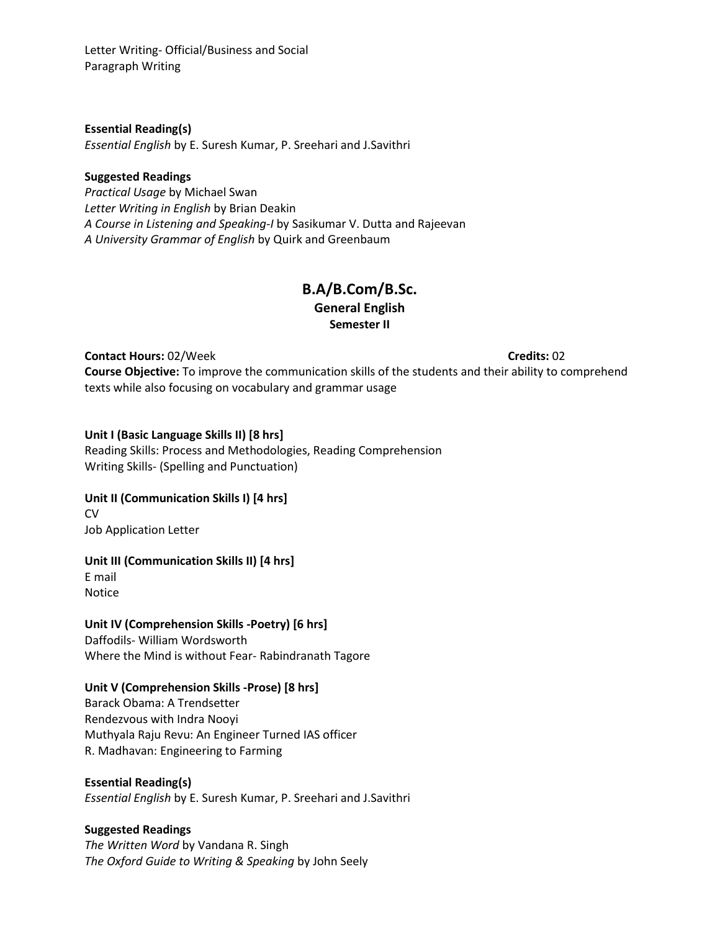Letter Writing- Official/Business and Social Paragraph Writing

**Essential Reading(s)**

*Essential English* by E. Suresh Kumar, P. Sreehari and J.Savithri

#### **Suggested Readings**

*Practical Usage* by Michael Swan *Letter Writing in English* by Brian Deakin *A Course in Listening and Speaking-I* by Sasikumar V. Dutta and Rajeevan *A University Grammar of English* by Quirk and Greenbaum

## **B.A/B.Com/B.Sc. General English Semester II**

**Contact Hours:** 02/Week **Credits:** 02

**Course Objective:** To improve the communication skills of the students and their ability to comprehend texts while also focusing on vocabulary and grammar usage

#### **Unit I (Basic Language Skills II) [8 hrs]**

Reading Skills: Process and Methodologies, Reading Comprehension Writing Skills- (Spelling and Punctuation)

#### **Unit II (Communication Skills I) [4 hrs]** CV

Job Application Letter

## **Unit III (Communication Skills II) [4 hrs]**

E mail Notice

## **Unit IV (Comprehension Skills -Poetry) [6 hrs]**

Daffodils- William Wordsworth Where the Mind is without Fear- Rabindranath Tagore

## **Unit V (Comprehension Skills -Prose) [8 hrs]**

Barack Obama: A Trendsetter Rendezvous with Indra Nooyi Muthyala Raju Revu: An Engineer Turned IAS officer R. Madhavan: Engineering to Farming

#### **Essential Reading(s)** *Essential English* by E. Suresh Kumar, P. Sreehari and J.Savithri

#### **Suggested Readings**

*The Written Word* by Vandana R. Singh *The Oxford Guide to Writing & Speaking* by John Seely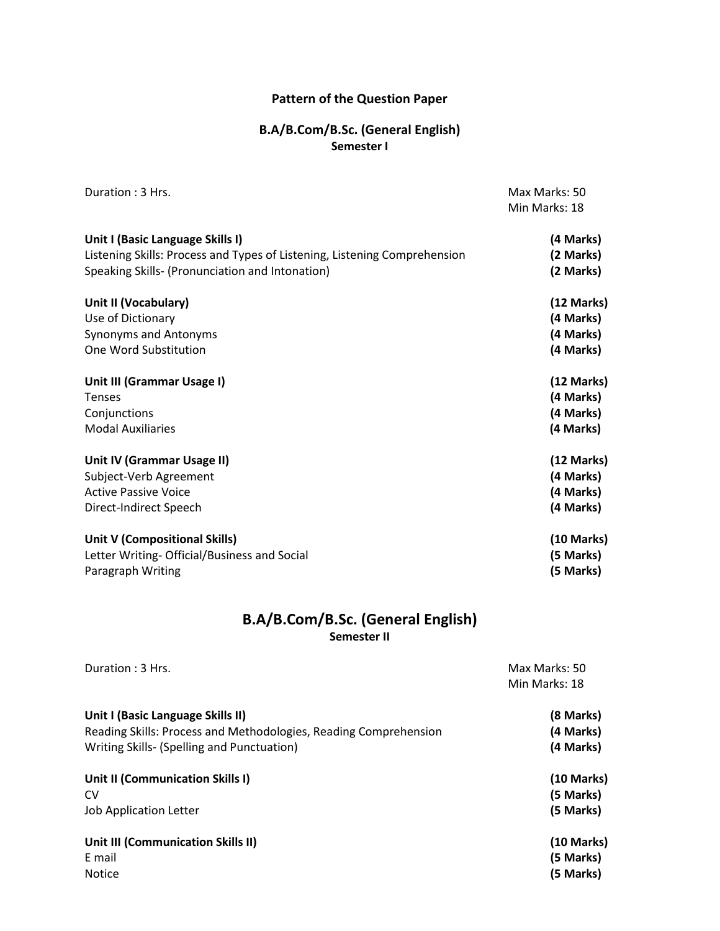#### **Pattern of the Question Paper**

## **B.A/B.Com/B.Sc. (General English) Semester I**

|                                                                           | Min Marks: 18 |
|---------------------------------------------------------------------------|---------------|
|                                                                           |               |
| Unit I (Basic Language Skills I)                                          | (4 Marks)     |
| Listening Skills: Process and Types of Listening, Listening Comprehension | (2 Marks)     |
| Speaking Skills- (Pronunciation and Intonation)                           | (2 Marks)     |
| Unit II (Vocabulary)                                                      | (12 Marks)    |
| Use of Dictionary                                                         | (4 Marks)     |
| Synonyms and Antonyms                                                     | (4 Marks)     |
| One Word Substitution                                                     | (4 Marks)     |
| Unit III (Grammar Usage I)                                                | (12 Marks)    |
| <b>Tenses</b>                                                             | (4 Marks)     |
| Conjunctions                                                              | (4 Marks)     |
| <b>Modal Auxiliaries</b>                                                  | (4 Marks)     |
| Unit IV (Grammar Usage II)                                                | (12 Marks)    |
| Subject-Verb Agreement                                                    | (4 Marks)     |
| <b>Active Passive Voice</b>                                               | (4 Marks)     |
| Direct-Indirect Speech                                                    | (4 Marks)     |
| Unit V (Compositional Skills)                                             | (10 Marks)    |
| Letter Writing- Official/Business and Social                              | (5 Marks)     |
| Paragraph Writing                                                         | (5 Marks)     |

## **B.A/B.Com/B.Sc. (General English) Semester II**

**Duration : 3 Hrs.** Max Marks: 50 Min Marks: 18 **Unit I (Basic Language Skills II) (8 Marks)** Reading Skills: Process and Methodologies, Reading Comprehension **(4 Marks)** Writing Skills- (Spelling and Punctuation) **(4 Marks) Unit II (Communication Skills I) (10 Marks)** CV **(5 Marks)** Job Application Letter **(5 Marks) Unit III (Communication Skills II) (10 Marks)** E mail **(5 Marks)** Notice **(5 Marks)**